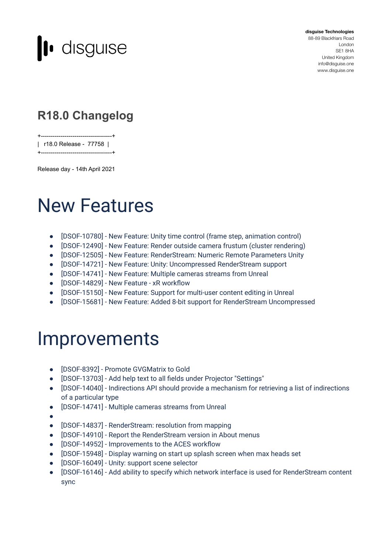

**disguise Technologies** 88-89 Blackfriars Road London SE1 8HA United Kingdom [info@disguise.one](mailto:info@disguise.one?subject=) www.disguise.one

### **R18.0 Changelog**

+------------------------------------+

| r18.0 Release - 77758 |

Release day - 14th April 2021

+------------------------------------+

## New Features

- [DSOF-10780] New Feature: Unity time control (frame step, animation control)
- [DSOF-12490] New Feature: Render outside camera frustum (cluster rendering)
- [DSOF-12505] New Feature: RenderStream: Numeric Remote Parameters Unity
- [DSOF-14721] New Feature: Unity: Uncompressed RenderStream support
- [DSOF-14741] New Feature: Multiple cameras streams from Unreal
- [DSOF-14829] New Feature xR workflow
- [DSOF-15150] New Feature: Support for multi-user content editing in Unreal
- [DSOF-15681] New Feature: Added 8-bit support for RenderStream Uncompressed

## **Improvements**

- [DSOF-8392] Promote GVGMatrix to Gold
- [DSOF-13703] Add help text to all fields under Projector "Settings"
- [DSOF-14040] Indirections API should provide a mechanism for retrieving a list of indirections of a particular type
- [DSOF-14741] Multiple cameras streams from Unreal
- ●
- [DSOF-14837] RenderStream: resolution from mapping
- [DSOF-14910] Report the RenderStream version in About menus
- [DSOF-14952] Improvements to the ACES workflow
- [DSOF-15948] Display warning on start up splash screen when max heads set
- [DSOF-16049] Unity: support scene selector
- [DSOF-16146] Add ability to specify which network interface is used for RenderStream content sync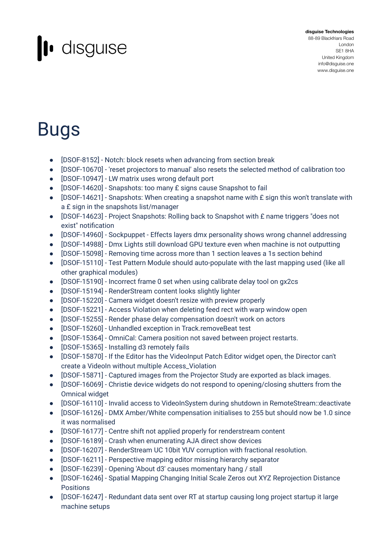# l disguise

#### **disguise Technologies** 88-89 Blackfriars Road London SE1 8HA United Kingdom [info@disguise.one](mailto:info@disguise.one?subject=) www.disguise.one

# Bugs

- [DSOF-8152] Notch: block resets when advancing from section break
- [DSOF-10670] 'reset projectors to manual' also resets the selected method of calibration too
- [DSOF-10947] LW matrix uses wrong default port
- [DSOF-14620] Snapshots: too many £ signs cause Snapshot to fail
- [DSOF-14621] Snapshots: When creating a snapshot name with £ sign this won't translate with a £ sign in the snapshots list/manager
- [DSOF-14623] Project Snapshots: Rolling back to Snapshot with £ name triggers "does not exist" notification
- [DSOF-14960] Sockpuppet Effects layers dmx personality shows wrong channel addressing
- [DSOF-14988] Dmx Lights still download GPU texture even when machine is not outputting
- [DSOF-15098] Removing time across more than 1 section leaves a 1s section behind
- [DSOF-15110] Test Pattern Module should auto-populate with the last mapping used (like all other graphical modules)
- [DSOF-15190] Incorrect frame 0 set when using calibrate delay tool on gx2cs
- [DSOF-15194] RenderStream content looks slightly lighter
- [DSOF-15220] Camera widget doesn't resize with preview properly
- [DSOF-15221] Access Violation when deleting feed rect with warp window open
- [DSOF-15255] Render phase delay compensation doesn't work on actors
- [DSOF-15260] Unhandled exception in Track.removeBeat test
- [DSOF-15364] OmniCal: Camera position not saved between project restarts.
- [DSOF-15365] Installing d3 remotely fails
- [DSOF-15870] If the Editor has the VideoInput Patch Editor widget open, the Director can't create a VideoIn without multiple Access\_Violation
- [DSOF-15871] Captured images from the Projector Study are exported as black images.
- [DSOF-16069] Christie device widgets do not respond to opening/closing shutters from the Omnical widget
- [DSOF-16110] Invalid access to VideoInSystem during shutdown in RemoteStream::deactivate
- [DSOF-16126] DMX Amber/White compensation initialises to 255 but should now be 1.0 since it was normalised
- [DSOF-16177] Centre shift not applied properly for renderstream content
- [DSOF-16189] Crash when enumerating AJA direct show devices
- [DSOF-16207] RenderStream UC 10bit YUV corruption with fractional resolution.
- [DSOF-16211] Perspective mapping editor missing hierarchy separator
- [DSOF-16239] Opening 'About d3' causes momentary hang / stall
- [DSOF-16246] Spatial Mapping Changing Initial Scale Zeros out XYZ Reprojection Distance Positions
- [DSOF-16247] Redundant data sent over RT at startup causing long project startup it large machine setups